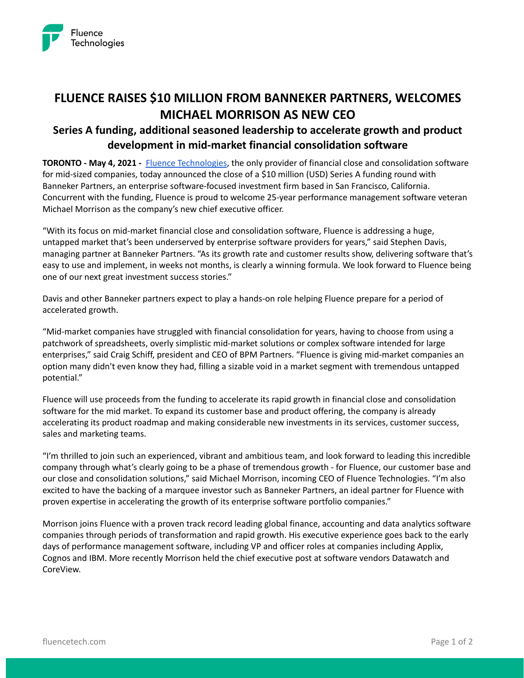

# **FLUENCE RAISES \$10 MILLION FROM BANNEKER PARTNERS, WELCOMES MICHAEL MORRISON AS NEW CEO**

## **Series A funding, additional seasoned leadership to accelerate growth and product development in mid-market financial consolidation software**

**TORONTO - May 4, 2021 -** [Fluence Technologies](https://www.fluencetech.com/), the only provider of financial close and consolidation software for mid-sized companies, today announced the close of a \$10 million (USD) Series A funding round with Banneker Partners, an enterprise software-focused investment firm based in San Francisco, California. Concurrent with the funding, Fluence is proud to welcome 25-year performance management software veteran Michael Morrison as the company's new chief executive officer.

"With its focus on mid-market financial close and consolidation software, Fluence is addressing a huge, untapped market that's been underserved by enterprise software providers for years," said Stephen Davis, managing partner at Banneker Partners. "As its growth rate and customer results show, delivering software that's easy to use and implement, in weeks not months, is clearly a winning formula. We look forward to Fluence being one of our next great investment success stories."

Davis and other Banneker partners expect to play a hands-on role helping Fluence prepare for a period of accelerated growth.

"Mid-market companies have struggled with financial consolidation for years, having to choose from using a patchwork of spreadsheets, overly simplistic mid-market solutions or complex software intended for large enterprises," said Craig Schiff, president and CEO of BPM Partners. "Fluence is giving mid-market companies an option many didn't even know they had, filling a sizable void in a market segment with tremendous untapped potential."

Fluence will use proceeds from the funding to accelerate its rapid growth in financial close and consolidation software for the mid market. To expand its customer base and product offering, the company is already accelerating its product roadmap and making considerable new investments in its services, customer success, sales and marketing teams.

"I'm thrilled to join such an experienced, vibrant and ambitious team, and look forward to leading this incredible company through what's clearly going to be a phase of tremendous growth - for Fluence, our customer base and our close and consolidation solutions," said Michael Morrison, incoming CEO of Fluence Technologies. "I'm also excited to have the backing of a marquee investor such as Banneker Partners, an ideal partner for Fluence with proven expertise in accelerating the growth of its enterprise software portfolio companies."

Morrison joins Fluence with a proven track record leading global finance, accounting and data analytics software companies through periods of transformation and rapid growth. His executive experience goes back to the early days of performance management software, including VP and officer roles at companies including Applix, Cognos and IBM. More recently Morrison held the chief executive post at software vendors Datawatch and CoreView.